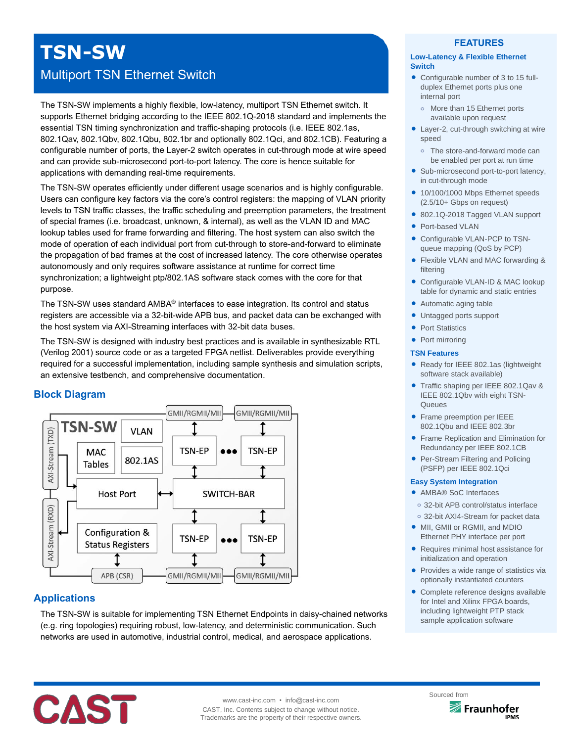# **TSN-SW**

## Multiport TSN Ethernet Switch

The TSN-SW implements a highly flexible, low-latency, multiport TSN Ethernet switch. It supports Ethernet bridging according to the IEEE 802.1Q-2018 standard and implements the essential TSN timing synchronization and traffic-shaping protocols (i.e. IEEE 802.1as, 802.1Qav, 802.1Qbv, 802.1Qbu, 802.1br and optionally 802.1Qci, and 802.1CB). Featuring a configurable number of ports, the Layer-2 switch operates in cut-through mode at wire speed and can provide sub-microsecond port-to-port latency. The core is hence suitable for applications with demanding real-time requirements.

The TSN-SW operates efficiently under different usage scenarios and is highly configurable. Users can configure key factors via the core's control registers: the mapping of VLAN priority levels to TSN traffic classes, the traffic scheduling and preemption parameters, the treatment of special frames (i.e. broadcast, unknown, & internal), as well as the VLAN ID and MAC lookup tables used for frame forwarding and filtering. The host system can also switch the mode of operation of each individual port from cut-through to store-and-forward to eliminate the propagation of bad frames at the cost of increased latency. The core otherwise operates autonomously and only requires software assistance at runtime for correct time synchronization; a lightweight ptp/802.1AS software stack comes with the core for that purpose.

The TSN-SW uses standard AMBA® interfaces to ease integration. Its control and status registers are accessible via a 32-bit-wide APB bus, and packet data can be exchanged with the host system via AXI-Streaming interfaces with 32-bit data buses.

The TSN-SW is designed with industry best practices and is available in synthesizable RTL (Verilog 2001) source code or as a targeted FPGA netlist. Deliverables provide everything required for a successful implementation, including sample synthesis and simulation scripts, an extensive testbench, and comprehensive documentation.

## **Block Diagram**



## **Applications**

The TSN-SW is suitable for implementing TSN Ethernet Endpoints in daisy-chained networks (e.g. ring topologies) requiring robust, low-latency, and deterministic communication. Such networks are used in automotive, industrial control, medical, and aerospace applications.

## **FEATURES**

#### **Low-Latency & Flexible Ethernet Switch**

- Configurable number of 3 to 15 fullduplex Ethernet ports plus one internal port
	- More than 15 Ethernet ports available upon request
- Layer-2, cut-through switching at wire speed
- **o** The store-and-forward mode can be enabled per port at run time
- Sub-microsecond port-to-port latency, in cut-through mode
- 10/100/1000 Mbps Ethernet speeds (2.5/10+ Gbps on request)
- 802.1Q-2018 Tagged VLAN support
- Port-based VLAN
- Configurable VLAN-PCP to TSNqueue mapping (QoS by PCP)
- Flexible VLAN and MAC forwarding & filtering
- Configurable VLAN-ID & MAC lookup table for dynamic and static entries
- Automatic aging table
- Untagged ports support
- Port Statistics
- Port mirroring

#### **TSN Features**

- Ready for IEEE 802.1as (lightweight software stack available)
- Traffic shaping per IEEE 802.1Qav & IEEE 802.1Qbv with eight TSN-**Queues**
- **•** Frame preemption per IEEE 802.1Qbu and IEEE 802.3br
- **Frame Replication and Elimination for** Redundancy per IEEE 802.1CB
- Per-Stream Filtering and Policing (PSFP) per IEEE 802.1Qci

#### **Easy System Integration**

- AMBA® SoC Interfaces
	- **o** 32-bit APB control/status interface
	- **o** 32-bit AXI4-Stream for packet data
- MII, GMII or RGMII, and MDIO Ethernet PHY interface per port
- Requires minimal host assistance for initialization and operation
- Provides a wide range of statistics via optionally instantiated counters
- Complete reference designs available for Intel and Xilinx FPGA boards, including lightweight PTP stack sample application software